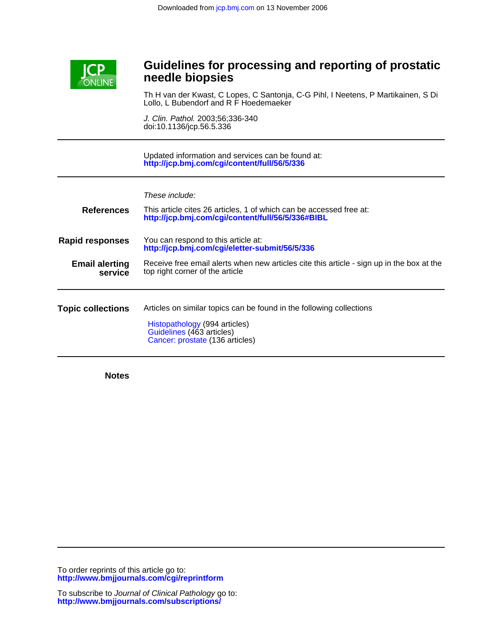

# **needle biopsies Guidelines for processing and reporting of prostatic**

Lollo, L Bubendorf and R F Hoedemaeker Th H van der Kwast, C Lopes, C Santonja, C-G Pihl, I Neetens, P Martikainen, S Di

doi:10.1136/jcp.56.5.336 J. Clin. Pathol. 2003;56;336-340

**<http://jcp.bmj.com/cgi/content/full/56/5/336>** Updated information and services can be found at:

These include:

| <b>References</b>                | This article cites 26 articles, 1 of which can be accessed free at:<br>http://jcp.bmj.com/cgi/content/full/56/5/336#BIBL                                              |
|----------------------------------|-----------------------------------------------------------------------------------------------------------------------------------------------------------------------|
| <b>Rapid responses</b>           | You can respond to this article at:<br>http://jcp.bmj.com/cgi/eletter-submit/56/5/336                                                                                 |
| <b>Email alerting</b><br>service | Receive free email alerts when new articles cite this article - sign up in the box at the<br>top right corner of the article                                          |
| <b>Topic collections</b>         | Articles on similar topics can be found in the following collections<br>Histopathology (994 articles)<br>Guidelines (463 articles)<br>Cancer: prostate (136 articles) |

**Notes**

**<http://www.bmjjournals.com/cgi/reprintform>** To order reprints of this article go to: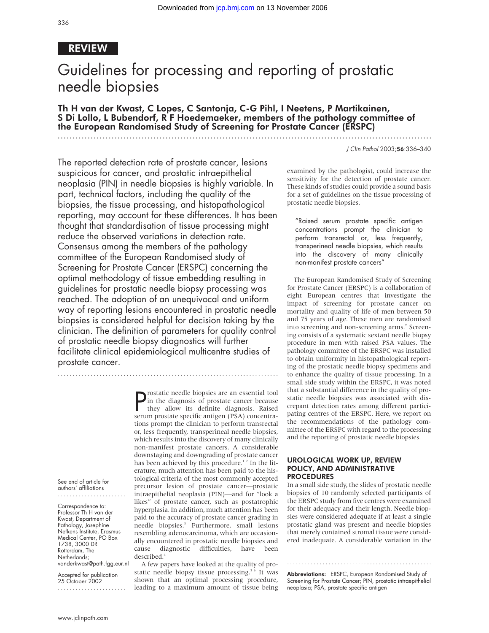# REVIEW

# Guidelines for processing and reporting of prostatic needle biopsies

Th H van der Kwast, C Lopes, C Santonja, C-G Pihl, I Neetens, P Martikainen, S Di Lollo, L Bubendorf, R F Hoedemaeker, members of the pathology committee of the European Randomised Study of Screening for Prostate Cancer (ERSPC)

The reported detection rate of prostate cancer, lesions suspicious for cancer, and prostatic intraepithelial neoplasia (PIN) in needle biopsies is highly variable. In part, technical factors, including the quality of the biopsies, the tissue processing, and histopathological reporting, may account for these differences. It has been thought that standardisation of tissue processing might reduce the observed variations in detection rate. Consensus among the members of the pathology committee of the European Randomised study of Screening for Prostate Cancer (ERSPC) concerning the optimal methodology of tissue embedding resulting in guidelines for prostatic needle biopsy processing was reached. The adoption of an unequivocal and uniform way of reporting lesions encountered in prostatic needle biopsies is considered helpful for decision taking by the clinician. The definition of parameters for quality control of prostatic needle biopsy diagnostics will further facilitate clinical epidemiological multicentre studies of prostate cancer.

..........................................................................

**P** rostatic needle biopsies are an essential tool<br>in the diagnosis of prostate cancer because<br>they allow its definite diagnosis. Raised<br>serum prostate specific antigen (PSA) concentrain the diagnosis of prostate cancer because they allow its definite diagnosis. Raised serum prostate specific antigen (PSA) concentrations prompt the clinician to perform transrectal or, less frequently, transperineal needle biopsies, which results into the discovery of many clinically non-manifest prostate cancers. A considerable downstaging and downgrading of prostate cancer has been achieved by this procedure.<sup>12</sup> In the literature, much attention has been paid to the histological criteria of the most commonly accepted precursor lesion of prostate cancer—prostatic intraepithelial neoplasia (PIN)—and for "look a likes" of prostate cancer, such as postatrophic hyperplasia. In addition, much attention has been paid to the accuracy of prostate cancer grading in needle biopsies.<sup>3</sup> Furthermore, small lesions resembling adenocarcinoma, which are occasionally encountered in prostatic needle biopsies and cause diagnostic difficulties, have been described.<sup>4</sup>

A few papers have looked at the quality of prostatic needle biopsy tissue processing.<sup>5 6</sup> It was shown that an optimal processing procedure, leading to a maximum amount of tissue being J Clin Pathol 2003;56:336–340

examined by the pathologist, could increase the sensitivity for the detection of prostate cancer. These kinds of studies could provide a sound basis for a set of guidelines on the tissue processing of prostatic needle biopsies.

"Raised serum prostate specific antigen concentrations prompt the clinician to perform transrectal or, less frequently, transperineal needle biopsies, which results into the discovery of many clinically non-manifest prostate cancers"

The European Randomised Study of Screening for Prostate Cancer (ERSPC) is a collaboration of eight European centres that investigate the impact of screening for prostate cancer on mortality and quality of life of men between 50 and 75 years of age. These men are randomised into screening and non-screening arms.<sup>7</sup> Screening consists of a systematic sextant needle biopsy procedure in men with raised PSA values. The pathology committee of the ERSPC was installed to obtain uniformity in histopathological reporting of the prostatic needle biopsy specimens and to enhance the quality of tissue processing. In a small side study within the ERSPC, it was noted that a substantial difference in the quality of prostatic needle biopsies was associated with discrepant detection rates among different participating centres of the ERSPC. Here, we report on the recommendations of the pathology committee of the ERSPC with regard to the processing and the reporting of prostatic needle biopsies.

#### UROLOGICAL WORK UP, REVIEW POLICY, AND ADMINISTRATIVE PROCEDURES

In a small side study, the slides of prostatic needle biopsies of 10 randomly selected participants of the ERSPC study from five centres were examined for their adequacy and their length. Needle biopsies were considered adequate if at least a single prostatic gland was present and needle biopsies that merely contained stromal tissue were considered inadequate. A considerable variation in the

Abbreviations: ERSPC, European Randomised Study of Screening for Prostate Cancer; PIN, prostatic intraepithelial neoplasia; PSA, prostate specific antigen

.................................................

See end of article for authors' affiliations .......................

Correspondence to: Professor Th H van der Kwast, Department of Pathology, Josephine Nefkens Institute, Erasmus Medical Center, PO Box 1738, 3000 DR Rotterdam, The Netherlands; vanderkwast@path.fgg.eur.nl

Accepted for publication 25 October 2002 .......................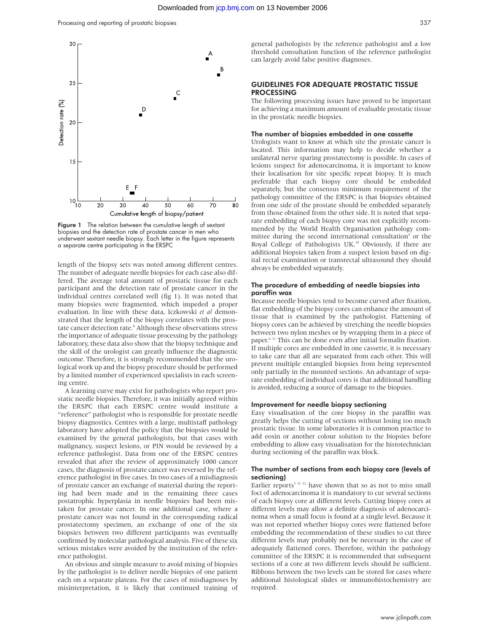

Figure 1 The relation between the cumulative length of sextant biopsies and the detection rate of prostate cancer in men who underwent sextant needle biopsy. Each letter in the figure represents a separate centre participating in the ERSPC

length of the biopsy sets was noted among different centres. The number of adequate needle biopsies for each case also differed. The average total amount of prostatic tissue for each participant and the detection rate of prostate cancer in the individual centres correlated well (fig 1). It was noted that many biopsies were fragmented, which impeded a proper evaluation. In line with these data, Iczkowski *et al* demonstrated that the length of the biopsy correlates with the prostate cancer detection rate.<sup>8</sup> Although these observations stress the importance of adequate tissue processing by the pathology laboratory, these data also show that the biopsy technique and the skill of the urologist can greatly influence the diagnostic outcome. Therefore, it is strongly recommended that the urological work up and the biopsy procedure should be performed by a limited number of experienced specialists in each screening centre.

A learning curve may exist for pathologists who report prostatic needle biopsies. Therefore, it was initially agreed within the ERSPC that each ERSPC centre would institute a "reference" pathologist who is responsible for prostate needle biopsy diagnostics. Centres with a large, multistaff pathology laboratory have adopted the policy that the biopsies would be examined by the general pathologists, but that cases with malignancy, suspect lesions, or PIN would be reviewed by a reference pathologist. Data from one of the ERSPC centres revealed that after the review of approximately 1000 cancer cases, the diagnosis of prostate cancer was reversed by the reference pathologist in five cases. In two cases of a misdiagnosis of prostate cancer an exchange of material during the reporting had been made and in the remaining three cases postatrophic hyperplasia in needle biopsies had been mistaken for prostate cancer. In one additional case, where a prostate cancer was not found in the corresponding radical prostatectomy specimen, an exchange of one of the six biopsies between two different participants was eventually confirmed by molecular pathological analysis. Five of these six serious mistakes were avoided by the institution of the reference pathologist.

An obvious and simple measure to avoid mixing of biopsies by the pathologist is to deliver needle biopsies of one patient each on a separate plateau. For the cases of misdiagnoses by misinterpretation, it is likely that continued training of general pathologists by the reference pathologist and a low threshold consultation function of the reference pathologist can largely avoid false positive diagnoses.

#### GUIDELINES FOR ADEQUATE PROSTATIC TISSUE PROCESSING

The following processing issues have proved to be important for achieving a maximum amount of evaluable prostatic tissue in the prostatic needle biopsies.

#### The number of biopsies embedded in one cassette

Urologists want to know at which site the prostate cancer is located. This information may help to decide whether a unilateral nerve sparing prostatectomy is possible. In cases of lesions suspect for adenocarcinoma, it is important to know their localisation for site specific repeat biopsy. It is much preferable that each biopsy core should be embedded separately, but the consensus minimum requirement of the pathology committee of the ERSPC is that biopsies obtained from one side of the prostate should be embedded separately from those obtained from the other side. It is noted that separate embedding of each biopsy core was not explicitly recommended by the World Health Organisation pathology committee during the second international consultation<sup>9</sup> or the Royal College of Pathologists UK.<sup>10</sup> Obviously, if there are additional biopsies taken from a suspect lesion based on digital rectal examination or transrectal ultrasound they should always be embedded separately.

#### The procedure of embedding of needle biopsies into paraffin wax

Because needle biopsies tend to become curved after fixation, flat embedding of the biopsy cores can enhance the amount of tissue that is examined by the pathologist. Flattening of biopsy cores can be achieved by stretching the needle biopsies between two nylon meshes or by wrapping them in a piece of paper.6 11 This can be done even after initial formalin fixation. If multiple cores are embedded in one cassette, it is necessary to take care that all are separated from each other. This will prevent multiple entangled biopsies from being represented only partially in the mounted sections. An advantage of separate embedding of individual cores is that additional handling is avoided, reducing a source of damage to the biopsies.

#### Improvement for needle biopsy sectioning

Easy visualisation of the core biopsy in the paraffin wax greatly helps the cutting of sections without losing too much prostatic tissue. In some laboratories it is common practice to add eosin or another colour solution to the biopsies before embedding to allow easy visualisation for the histotechnician during sectioning of the paraffin wax block.

#### The number of sections from each biopsy core (levels of sectioning)

Earlier reports<sup>3 11 12</sup> have shown that so as not to miss small foci of adenocarcinoma it is mandatory to cut several sections of each biopsy core at different levels. Cutting biopsy cores at different levels may allow a definite diagnosis of adenocarcinoma when a small focus is found at a single level. Because it was not reported whether biopsy cores were flattened before embedding the recommendation of these studies to cut three different levels may probably not be necessary in the case of adequately flattened cores. Therefore, within the pathology committee of the ERSPC it is recommended that subsequent sections of a core at two different levels should be sufficient. Ribbons between the two levels can be stored for cases where additional histological slides or immunohistochemistry are required.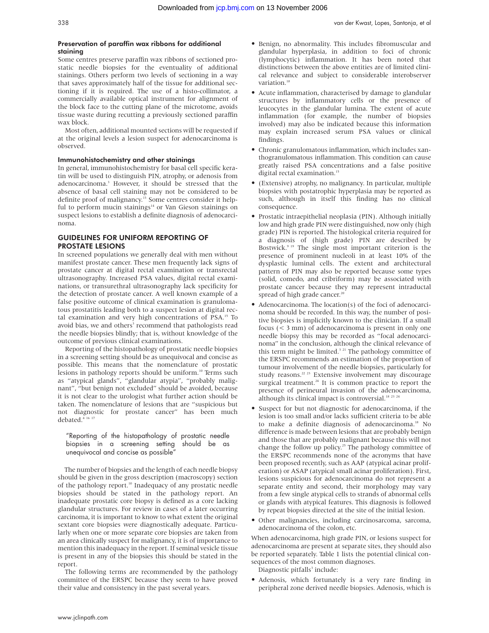#### Preservation of paraffin wax ribbons for additional staining

Some centres preserve paraffin wax ribbons of sectioned prostatic needle biopsies for the eventuality of additional stainings. Others perform two levels of sectioning in a way that saves approximately half of the tissue for additional sectioning if it is required. The use of a histo-collimator, a commercially available optical instrument for alignment of the block face to the cutting plane of the microtome, avoids tissue waste during recutting a previously sectioned paraffin wax block.

Most often, additional mounted sections will be requested if at the original levels a lesion suspect for adenocarcinoma is observed.

#### Immunohistochemistry and other stainings

In general, immunohistochemistry for basal cell specific keratin will be used to distinguish PIN, atrophy, or adenosis from adenocarcinoma.<sup>3</sup> However, it should be stressed that the absence of basal cell staining may not be considered to be definite proof of malignancy.<sup>13</sup> Some centres consider it helpful to perform mucin stainings<sup>14</sup> or Van Gieson stainings on suspect lesions to establish a definite diagnosis of adenocarcinoma.

#### GUIDELINES FOR UNIFORM REPORTING OF PROSTATE LESIONS

In screened populations we generally deal with men without manifest prostate cancer. These men frequently lack signs of prostate cancer at digital rectal examination or transrectal ultrasonography. Increased PSA values, digital rectal examinations, or transurethral ultrasonography lack specificity for the detection of prostate cancer. A well known example of a false positive outcome of clinical examination is granulomatous prostatitis leading both to a suspect lesion at digital rectal examination and very high concentrations of PSA.15 To avoid bias, we and others<sup>3</sup> recommend that pathologists read the needle biopsies blindly; that is, without knowledge of the outcome of previous clinical examinations.

Reporting of the histopathology of prostatic needle biopsies in a screening setting should be as unequivocal and concise as possible. This means that the nomenclature of prostatic lesions in pathology reports should be uniform.<sup>10</sup> Terms such as "atypical glands", "glandular atypia", "probably malignant", "but benign not excluded" should be avoided, because it is not clear to the urologist what further action should be taken. The nomenclature of lesions that are "suspicious but not diagnostic for prostate cancer" has been much debated.<sup>4 16 17</sup>

#### "Reporting of the histopathology of prostatic needle biopsies in a screening setting should be as unequivocal and concise as possible"

The number of biopsies and the length of each needle biopsy should be given in the gross description (macroscopy) section of the pathology report.<sup>10</sup> Inadequacy of any prostatic needle biopsies should be stated in the pathology report. An inadequate prostatic core biopsy is defined as a core lacking glandular structures. For review in cases of a later occurring carcinoma, it is important to know to what extent the original sextant core biopsies were diagnostically adequate. Particularly when one or more separate core biopsies are taken from an area clinically suspect for malignancy, it is of importance to mention this inadequacy in the report. If seminal vesicle tissue is present in any of the biopsies this should be stated in the report.

The following terms are recommended by the pathology committee of the ERSPC because they seem to have proved their value and consistency in the past several years.

- Benign, no abnormality. This includes fibromuscular and glandular hyperplasia, in addition to foci of chronic (lymphocytic) inflammation. It has been noted that distinctions between the above entities are of limited clinical relevance and subject to considerable interobserver variation.<sup>18</sup>
- Acute inflammation, characterised by damage to glandular structures by inflammatory cells or the presence of leucocytes in the glandular lumina. The extent of acute inflammation (for example, the number of biopsies involved) may also be indicated because this information may explain increased serum PSA values or clinical findings.
- Chronic granulomatous inflammation, which includes xanthogranulomatous inflammation. This condition can cause greatly raised PSA concentrations and a false positive digital rectal examination.<sup>15</sup>
- (Extensive) atrophy, no malignancy. In particular, multiple biopsies with postatrophic hyperplasia may be reported as such, although in itself this finding has no clinical consequence.
- Prostatic intraepithelial neoplasia (PIN). Although initially low and high grade PIN were distinguished, now only (high grade) PIN is reported. The histological criteria required for a diagnosis of (high grade) PIN are described by Bostwick. $9^{19}$  The single most important criterion is the presence of prominent nucleoli in at least 10% of the dysplastic luminal cells. The extent and architectural pattern of PIN may also be reported because some types (solid, comedo, and cribriform) may be associated with prostate cancer because they may represent intraductal spread of high grade cancer.<sup>20</sup>
- Adenocarcinoma. The location(s) of the foci of adenocarcinoma should be recorded. In this way, the number of positive biopsies is implicitly known to the clinician. If a small focus (< 3 mm) of adenocarcinoma is present in only one needle biopsy this may be recorded as "focal adenocarcinoma" in the conclusion, although the clinical relevance of this term might be limited.<sup>3 21</sup> The pathology committee of the ERSPC recommends an estimation of the proportion of tumour involvement of the needle biopsies, particularly for study reasons.<sup>22 23</sup> Extensive involvement may discourage surgical treatment.<sup>24</sup> It is common practice to report the presence of perineural invasion of the adenocarcinoma, although its clinical impact is controversial.<sup>18 23 24</sup>
- Suspect for but not diagnostic for adenocarcinoma, if the lesion is too small and/or lacks sufficient criteria to be able to make a definite diagnosis of adenocarcinoma.<sup>18</sup> No difference is made between lesions that are probably benign and those that are probably malignant because this will not change the follow up policy.<sup>25</sup> The pathology committee of the ERSPC recommends none of the acronyms that have been proposed recently, such as AAP (atypical acinar proliferation) or ASAP (atypical small acinar proliferation). First, lesions suspicious for adenocarcinoma do not represent a separate entity and second, their morphology may vary from a few single atypical cells to strands of abnormal cells or glands with atypical features. This diagnosis is followed by repeat biopsies directed at the site of the initial lesion.
- Other malignancies, including carcinosarcoma, sarcoma, adenocarcinoma of the colon, etc.

When adenocarcinoma, high grade PIN, or lesions suspect for adenocarcinoma are present at separate sites, they should also be reported separately. Table 1 lists the potential clinical consequences of the most common diagnoses.

Diagnostic pitfalls<sup>3</sup> include:

• Adenosis, which fortunately is a very rare finding in peripheral zone derived needle biopsies. Adenosis, which is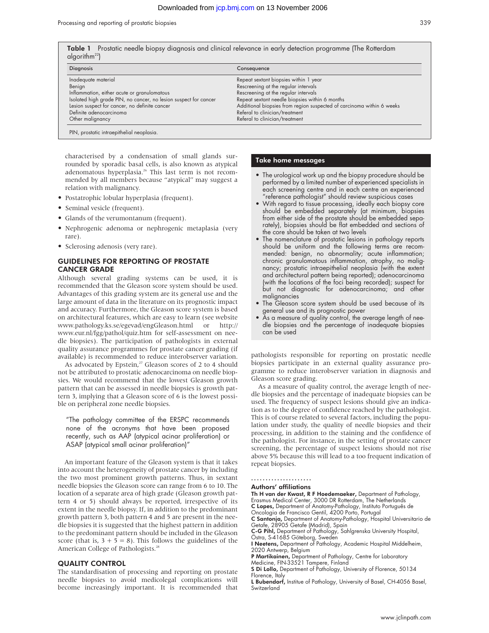| <b>Table 1</b> Prostatic needle biopsy diagnosis and clinical relevance in early detection programme (The Rotterdam<br>alqorithm <sup>22</sup> |                                                                       |  |  |
|------------------------------------------------------------------------------------------------------------------------------------------------|-----------------------------------------------------------------------|--|--|
| <b>Diagnosis</b>                                                                                                                               | Consequence                                                           |  |  |
| Inadequate material                                                                                                                            | Repeat sextant biopsies within 1 year                                 |  |  |
| Benign                                                                                                                                         | Rescreening at the regular intervals                                  |  |  |
| Inflammation, either acute or granulomatous                                                                                                    | Rescreening at the regular intervals                                  |  |  |
| Isolated high grade PIN, no cancer, no lesion suspect for cancer                                                                               | Repeat sextant needle biopsies within 6 months                        |  |  |
| Lesion suspect for cancer, no definite cancer                                                                                                  | Additional biopsies from region suspected of carcinoma within 6 weeks |  |  |
| Definite adenocarcinoma                                                                                                                        | Referal to clinician/treatment                                        |  |  |

Other malignancy Referal to clinician/treatment

PIN, prostatic intraepithelial neoplasia.

characterised by a condensation of small glands surrounded by sporadic basal cells, is also known as atypical adenomatous hyperplasia.<sup>26</sup> This last term is not recommended by all members because "atypical" may suggest a relation with malignancy.

- Postatrophic lobular hyperplasia (frequent).
- Seminal vesicle (frequent).
- Glands of the verumontanum (frequent).
- Nephrogenic adenoma or nephrogenic metaplasia (very rare).
- Sclerosing adenosis (very rare).

#### GUIDELINES FOR REPORTING OF PROSTATE CANCER GRADE

Although several grading systems can be used, it is recommended that the Gleason score system should be used. Advantages of this grading system are its general use and the large amount of data in the literature on its prognostic impact and accuracy. Furthermore, the Gleason score system is based on architectural features, which are easy to learn (see website www.pathology.ks.se/egevad/engGleason.html or http:// www.eur.nl/fgg/pathol/quiz.htm for self-assessment on needle biopsies). The participation of pathologists in external quality assurance programmes for prostate cancer grading (if available) is recommended to reduce interobserver variation.

As advocated by Epstein, $27$  Gleason scores of 2 to 4 should not be attributed to prostatic adenocarcinoma on needle biopsies. We would recommend that the lowest Gleason growth pattern that can be assessed in needle biopsies is growth pattern 3, implying that a Gleason score of 6 is the lowest possible on peripheral zone needle biopsies.

"The pathology committee of the ERSPC recommends none of the acronyms that have been proposed recently, such as AAP (atypical acinar proliferation) or ASAP (atypical small acinar proliferation)"

An important feature of the Gleason system is that it takes into account the heterogeneity of prostate cancer by including the two most prominent growth patterns. Thus, in sextant needle biopsies the Gleason score can range from 6 to 10. The location of a separate area of high grade (Gleason growth pattern 4 or 5) should always be reported, irrespective of its extent in the needle biopsy. If, in addition to the predominant growth pattern 3, both pattern 4 and 5 are present in the needle biopsies it is suggested that the highest pattern in addition to the predominant pattern should be included in the Gleason score (that is,  $3 + 5 = 8$ ). This follows the guidelines of the American College of Pathologists.<sup>28</sup>

### QUALITY CONTROL

The standardisation of processing and reporting on prostate needle biopsies to avoid medicolegal complications will become increasingly important. It is recommended that

#### Take home messages

- The urological work up and the biopsy procedure should be performed by a limited number of experienced specialists in each screening centre and in each centre an experienced "reference pathologist" should review suspicious cases
- With regard to tissue processing, ideally each biopsy core should be embedded separately (at minimum, biopsies from either side of the prostate should be embedded separately), biopsies should be flat embedded and sections of the core should be taken at two levels
- The nomenclature of prostatic lesions in pathology reports should be uniform and the following terms are recommended: benign, no abnormality; acute inflammation; chronic granulomatous inflammation, atrophy, no malignancy; prostatic intraepithelial neoplasia (with the extent and architectural pattern being reported); adenocarcinoma (with the locations of the foci being recorded); suspect for but not diagnostic for adenocarcinoma; and other malignancies
- The Gleason score system should be used because of its general use and its prognostic power
- As a measure of quality control, the average length of needle biopsies and the percentage of inadequate biopsies can be used

pathologists responsible for reporting on prostatic needle biopsies participate in an external quality assurance programme to reduce interobserver variation in diagnosis and Gleason score grading.

As a measure of quality control, the average length of needle biopsies and the percentage of inadequate biopsies can be used. The frequency of suspect lesions should give an indication as to the degree of confidence reached by the pathologist. This is of course related to several factors, including the population under study, the quality of needle biopsies and their processing, in addition to the staining and the confidence of the pathologist. For instance, in the setting of prostate cancer screening, the percentage of suspect lesions should not rise above 5% because this will lead to a too frequent indication of repeat biopsies.

#### .....................

#### Authors' affiliations

Th H van der Kwast, R F Hoedemaeker, Department of Pathology, Erasmus Medical Center, 3000 DR Rotterdam, The Netherlands C Lopes, Department of Anatomy-Pathology, Instituto Português de Oncologia de Francisco Gentil, 4200 Porto, Portugal

C Santonja, Department of Anatomy-Pathology, Hospital Universitario de Getafe, 28905 Getafe (Madrid), Spain

**C-G Pihl,** Department of Pathology, Sahlgrenska University Hospital,<br>Östra, S-41685 Göteborg, Sweden

P Martikainen, Department of Pathology, Centre for Laboratory Medicine, FIN-33521 Tampere, Finland

I Neetens, Department of Pathology, Academic Hospital Middelheim, 2020 Antwerp, Belgium

S Di Lollo, Department of Pathology, University of Florence, 50134 Florence, Italy

L Bubendorf, Institue of Pathology, University of Basel, CH-4056 Basel, **Switzerland**